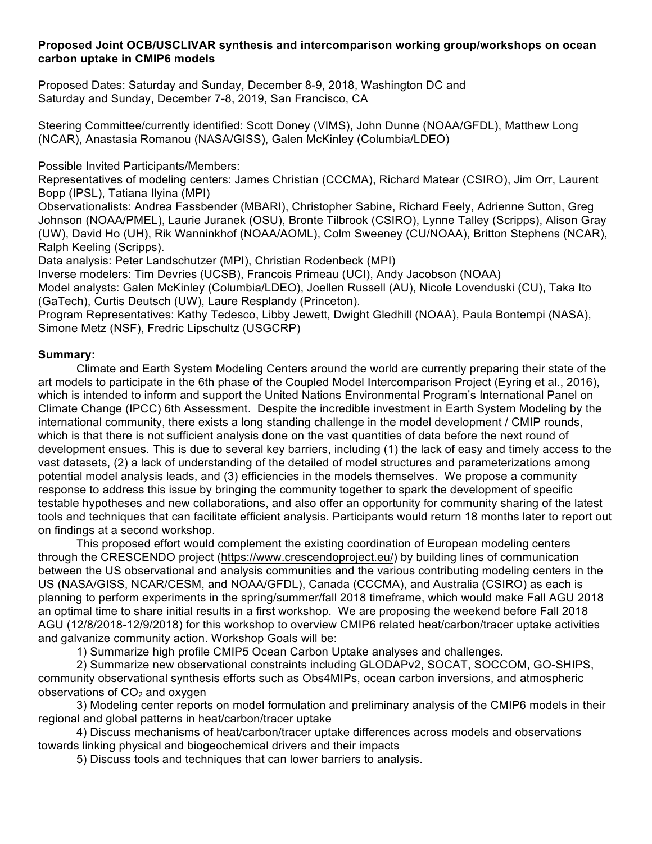# **Proposed Joint OCB/USCLIVAR synthesis and intercomparison working group/workshops on ocean carbon uptake in CMIP6 models**

Proposed Dates: Saturday and Sunday, December 8-9, 2018, Washington DC and Saturday and Sunday, December 7-8, 2019, San Francisco, CA

Steering Committee/currently identified: Scott Doney (VIMS), John Dunne (NOAA/GFDL), Matthew Long (NCAR), Anastasia Romanou (NASA/GISS), Galen McKinley (Columbia/LDEO)

Possible Invited Participants/Members:

Representatives of modeling centers: James Christian (CCCMA), Richard Matear (CSIRO), Jim Orr, Laurent Bopp (IPSL), Tatiana Ilyina (MPI)

Observationalists: Andrea Fassbender (MBARI), Christopher Sabine, Richard Feely, Adrienne Sutton, Greg Johnson (NOAA/PMEL), Laurie Juranek (OSU), Bronte Tilbrook (CSIRO), Lynne Talley (Scripps), Alison Gray (UW), David Ho (UH), Rik Wanninkhof (NOAA/AOML), Colm Sweeney (CU/NOAA), Britton Stephens (NCAR), Ralph Keeling (Scripps).

Data analysis: Peter Landschutzer (MPI), Christian Rodenbeck (MPI)

Inverse modelers: Tim Devries (UCSB), Francois Primeau (UCI), Andy Jacobson (NOAA)

Model analysts: Galen McKinley (Columbia/LDEO), Joellen Russell (AU), Nicole Lovenduski (CU), Taka Ito (GaTech), Curtis Deutsch (UW), Laure Resplandy (Princeton).

Program Representatives: Kathy Tedesco, Libby Jewett, Dwight Gledhill (NOAA), Paula Bontempi (NASA), Simone Metz (NSF), Fredric Lipschultz (USGCRP)

# **Summary:**

Climate and Earth System Modeling Centers around the world are currently preparing their state of the art models to participate in the 6th phase of the Coupled Model Intercomparison Project (Eyring et al., 2016), which is intended to inform and support the United Nations Environmental Program's International Panel on Climate Change (IPCC) 6th Assessment. Despite the incredible investment in Earth System Modeling by the international community, there exists a long standing challenge in the model development / CMIP rounds, which is that there is not sufficient analysis done on the vast quantities of data before the next round of development ensues. This is due to several key barriers, including (1) the lack of easy and timely access to the vast datasets, (2) a lack of understanding of the detailed of model structures and parameterizations among potential model analysis leads, and (3) efficiencies in the models themselves. We propose a community response to address this issue by bringing the community together to spark the development of specific testable hypotheses and new collaborations, and also offer an opportunity for community sharing of the latest tools and techniques that can facilitate efficient analysis. Participants would return 18 months later to report out on findings at a second workshop.

This proposed effort would complement the existing coordination of European modeling centers through the CRESCENDO project (https://www.crescendoproject.eu/) by building lines of communication between the US observational and analysis communities and the various contributing modeling centers in the US (NASA/GISS, NCAR/CESM, and NOAA/GFDL), Canada (CCCMA), and Australia (CSIRO) as each is planning to perform experiments in the spring/summer/fall 2018 timeframe, which would make Fall AGU 2018 an optimal time to share initial results in a first workshop. We are proposing the weekend before Fall 2018 AGU (12/8/2018-12/9/2018) for this workshop to overview CMIP6 related heat/carbon/tracer uptake activities and galvanize community action. Workshop Goals will be:

1) Summarize high profile CMIP5 Ocean Carbon Uptake analyses and challenges.

2) Summarize new observational constraints including GLODAPv2, SOCAT, SOCCOM, GO-SHIPS, community observational synthesis efforts such as Obs4MIPs, ocean carbon inversions, and atmospheric observations of  $CO<sub>2</sub>$  and oxygen

3) Modeling center reports on model formulation and preliminary analysis of the CMIP6 models in their regional and global patterns in heat/carbon/tracer uptake

4) Discuss mechanisms of heat/carbon/tracer uptake differences across models and observations towards linking physical and biogeochemical drivers and their impacts

5) Discuss tools and techniques that can lower barriers to analysis.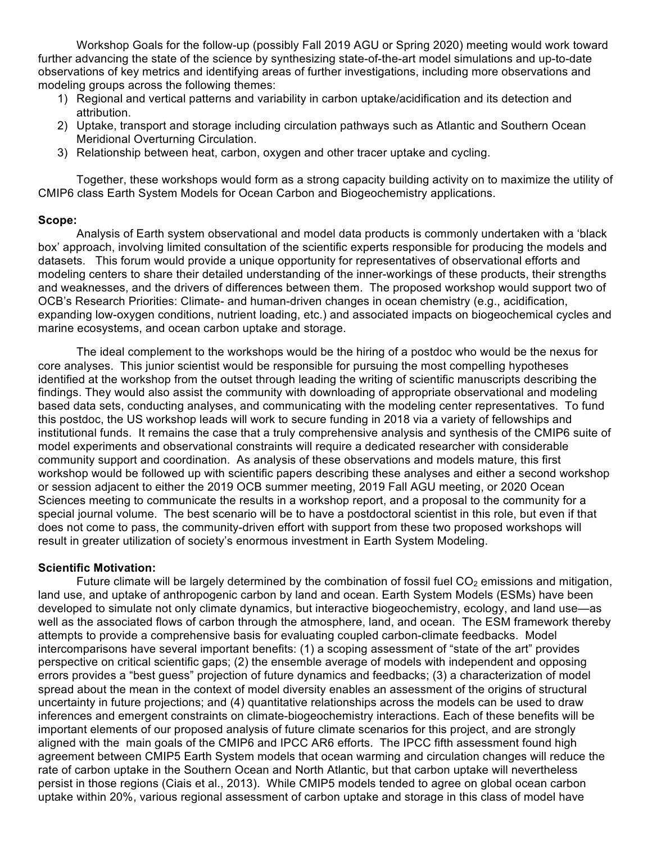Workshop Goals for the follow-up (possibly Fall 2019 AGU or Spring 2020) meeting would work toward further advancing the state of the science by synthesizing state-of-the-art model simulations and up-to-date observations of key metrics and identifying areas of further investigations, including more observations and modeling groups across the following themes:

- 1) Regional and vertical patterns and variability in carbon uptake/acidification and its detection and attribution.
- 2) Uptake, transport and storage including circulation pathways such as Atlantic and Southern Ocean Meridional Overturning Circulation.
- 3) Relationship between heat, carbon, oxygen and other tracer uptake and cycling.

Together, these workshops would form as a strong capacity building activity on to maximize the utility of CMIP6 class Earth System Models for Ocean Carbon and Biogeochemistry applications.

# **Scope:**

Analysis of Earth system observational and model data products is commonly undertaken with a 'black box' approach, involving limited consultation of the scientific experts responsible for producing the models and datasets. This forum would provide a unique opportunity for representatives of observational efforts and modeling centers to share their detailed understanding of the inner-workings of these products, their strengths and weaknesses, and the drivers of differences between them. The proposed workshop would support two of OCB's Research Priorities: Climate- and human-driven changes in ocean chemistry (e.g., acidification, expanding low-oxygen conditions, nutrient loading, etc.) and associated impacts on biogeochemical cycles and marine ecosystems, and ocean carbon uptake and storage.

The ideal complement to the workshops would be the hiring of a postdoc who would be the nexus for core analyses. This junior scientist would be responsible for pursuing the most compelling hypotheses identified at the workshop from the outset through leading the writing of scientific manuscripts describing the findings. They would also assist the community with downloading of appropriate observational and modeling based data sets, conducting analyses, and communicating with the modeling center representatives. To fund this postdoc, the US workshop leads will work to secure funding in 2018 via a variety of fellowships and institutional funds. It remains the case that a truly comprehensive analysis and synthesis of the CMIP6 suite of model experiments and observational constraints will require a dedicated researcher with considerable community support and coordination. As analysis of these observations and models mature, this first workshop would be followed up with scientific papers describing these analyses and either a second workshop or session adjacent to either the 2019 OCB summer meeting, 2019 Fall AGU meeting, or 2020 Ocean Sciences meeting to communicate the results in a workshop report, and a proposal to the community for a special journal volume. The best scenario will be to have a postdoctoral scientist in this role, but even if that does not come to pass, the community-driven effort with support from these two proposed workshops will result in greater utilization of society's enormous investment in Earth System Modeling.

## **Scientific Motivation:**

Future climate will be largely determined by the combination of fossil fuel  $CO<sub>2</sub>$  emissions and mitigation, land use, and uptake of anthropogenic carbon by land and ocean. Earth System Models (ESMs) have been developed to simulate not only climate dynamics, but interactive biogeochemistry, ecology, and land use—as well as the associated flows of carbon through the atmosphere, land, and ocean. The ESM framework thereby attempts to provide a comprehensive basis for evaluating coupled carbon-climate feedbacks. Model intercomparisons have several important benefits: (1) a scoping assessment of "state of the art" provides perspective on critical scientific gaps; (2) the ensemble average of models with independent and opposing errors provides a "best guess" projection of future dynamics and feedbacks; (3) a characterization of model spread about the mean in the context of model diversity enables an assessment of the origins of structural uncertainty in future projections; and (4) quantitative relationships across the models can be used to draw inferences and emergent constraints on climate-biogeochemistry interactions. Each of these benefits will be important elements of our proposed analysis of future climate scenarios for this project, and are strongly aligned with the main goals of the CMIP6 and IPCC AR6 efforts. The IPCC fifth assessment found high agreement between CMIP5 Earth System models that ocean warming and circulation changes will reduce the rate of carbon uptake in the Southern Ocean and North Atlantic, but that carbon uptake will nevertheless persist in those regions (Ciais et al., 2013). While CMIP5 models tended to agree on global ocean carbon uptake within 20%, various regional assessment of carbon uptake and storage in this class of model have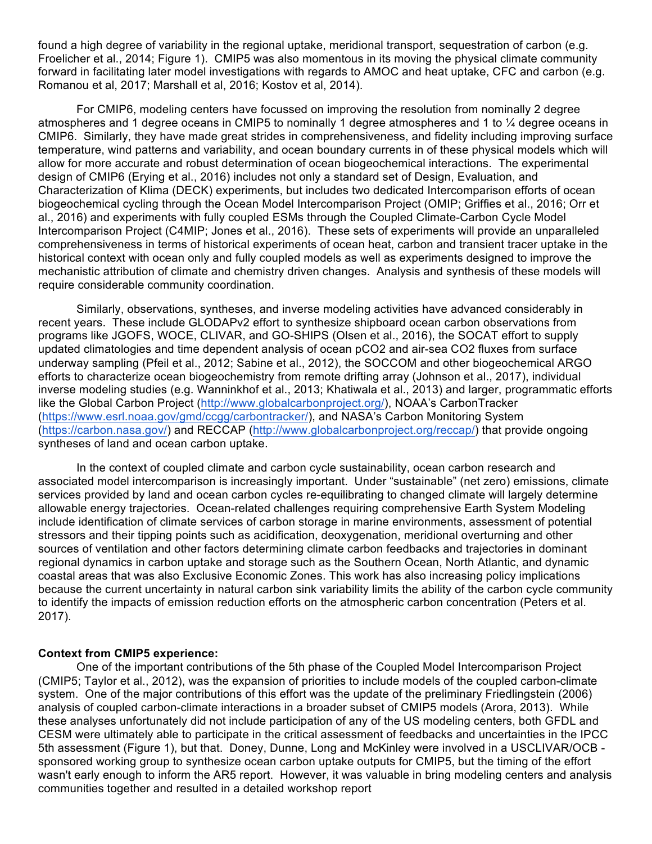found a high degree of variability in the regional uptake, meridional transport, sequestration of carbon (e.g. Froelicher et al., 2014; Figure 1). CMIP5 was also momentous in its moving the physical climate community forward in facilitating later model investigations with regards to AMOC and heat uptake, CFC and carbon (e.g. Romanou et al, 2017; Marshall et al, 2016; Kostov et al, 2014).

For CMIP6, modeling centers have focussed on improving the resolution from nominally 2 degree atmospheres and 1 degree oceans in CMIP5 to nominally 1 degree atmospheres and 1 to ¼ degree oceans in CMIP6. Similarly, they have made great strides in comprehensiveness, and fidelity including improving surface temperature, wind patterns and variability, and ocean boundary currents in of these physical models which will allow for more accurate and robust determination of ocean biogeochemical interactions. The experimental design of CMIP6 (Erying et al., 2016) includes not only a standard set of Design, Evaluation, and Characterization of Klima (DECK) experiments, but includes two dedicated Intercomparison efforts of ocean biogeochemical cycling through the Ocean Model Intercomparison Project (OMIP; Griffies et al., 2016; Orr et al., 2016) and experiments with fully coupled ESMs through the Coupled Climate-Carbon Cycle Model Intercomparison Project (C4MIP; Jones et al., 2016). These sets of experiments will provide an unparalleled comprehensiveness in terms of historical experiments of ocean heat, carbon and transient tracer uptake in the historical context with ocean only and fully coupled models as well as experiments designed to improve the mechanistic attribution of climate and chemistry driven changes. Analysis and synthesis of these models will require considerable community coordination.

Similarly, observations, syntheses, and inverse modeling activities have advanced considerably in recent years. These include GLODAPv2 effort to synthesize shipboard ocean carbon observations from programs like JGOFS, WOCE, CLIVAR, and GO-SHIPS (Olsen et al., 2016), the SOCAT effort to supply updated climatologies and time dependent analysis of ocean pCO2 and air-sea CO2 fluxes from surface underway sampling (Pfeil et al., 2012; Sabine et al., 2012), the SOCCOM and other biogeochemical ARGO efforts to characterize ocean biogeochemistry from remote drifting array (Johnson et al., 2017), individual inverse modeling studies (e.g. Wanninkhof et al., 2013; Khatiwala et al., 2013) and larger, programmatic efforts like the Global Carbon Project (http://www.globalcarbonproject.org/), NOAA's CarbonTracker (https://www.esrl.noaa.gov/gmd/ccgg/carbontracker/), and NASA's Carbon Monitoring System (https://carbon.nasa.gov/) and RECCAP (http://www.globalcarbonproject.org/reccap/) that provide ongoing syntheses of land and ocean carbon uptake.

In the context of coupled climate and carbon cycle sustainability, ocean carbon research and associated model intercomparison is increasingly important. Under "sustainable" (net zero) emissions, climate services provided by land and ocean carbon cycles re-equilibrating to changed climate will largely determine allowable energy trajectories. Ocean-related challenges requiring comprehensive Earth System Modeling include identification of climate services of carbon storage in marine environments, assessment of potential stressors and their tipping points such as acidification, deoxygenation, meridional overturning and other sources of ventilation and other factors determining climate carbon feedbacks and trajectories in dominant regional dynamics in carbon uptake and storage such as the Southern Ocean, North Atlantic, and dynamic coastal areas that was also Exclusive Economic Zones. This work has also increasing policy implications because the current uncertainty in natural carbon sink variability limits the ability of the carbon cycle community to identify the impacts of emission reduction efforts on the atmospheric carbon concentration (Peters et al. 2017).

## **Context from CMIP5 experience:**

One of the important contributions of the 5th phase of the Coupled Model Intercomparison Project (CMIP5; Taylor et al., 2012), was the expansion of priorities to include models of the coupled carbon-climate system. One of the major contributions of this effort was the update of the preliminary Friedlingstein (2006) analysis of coupled carbon-climate interactions in a broader subset of CMIP5 models (Arora, 2013). While these analyses unfortunately did not include participation of any of the US modeling centers, both GFDL and CESM were ultimately able to participate in the critical assessment of feedbacks and uncertainties in the IPCC 5th assessment (Figure 1), but that. Doney, Dunne, Long and McKinley were involved in a USCLIVAR/OCB sponsored working group to synthesize ocean carbon uptake outputs for CMIP5, but the timing of the effort wasn't early enough to inform the AR5 report. However, it was valuable in bring modeling centers and analysis communities together and resulted in a detailed workshop report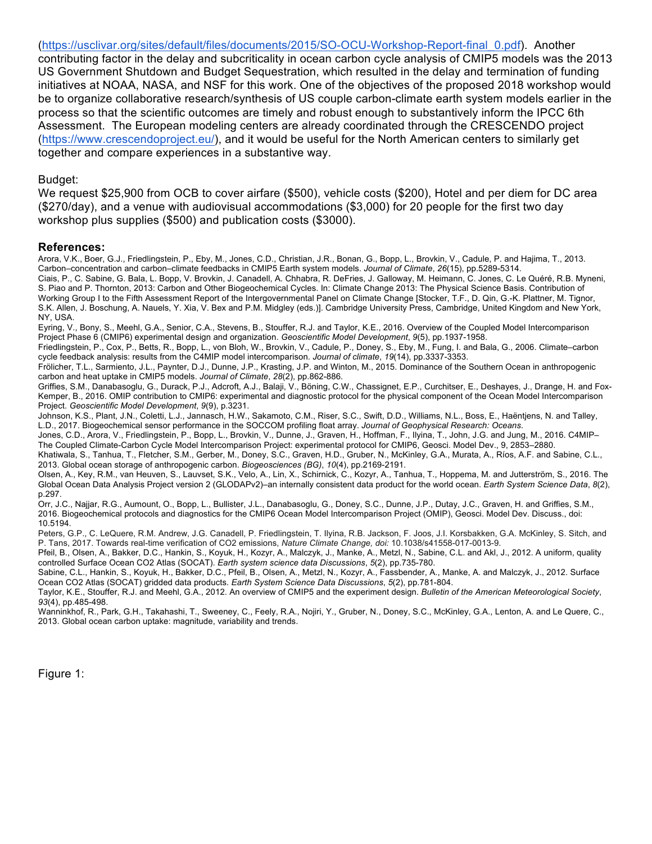(https://usclivar.org/sites/default/files/documents/2015/SO-OCU-Workshop-Report-final\_0.pdf). Another contributing factor in the delay and subcriticality in ocean carbon cycle analysis of CMIP5 models was the 2013 US Government Shutdown and Budget Sequestration, which resulted in the delay and termination of funding initiatives at NOAA, NASA, and NSF for this work. One of the objectives of the proposed 2018 workshop would be to organize collaborative research/synthesis of US couple carbon-climate earth system models earlier in the process so that the scientific outcomes are timely and robust enough to substantively inform the IPCC 6th Assessment. The European modeling centers are already coordinated through the CRESCENDO project (https://www.crescendoproject.eu/), and it would be useful for the North American centers to similarly get together and compare experiences in a substantive way.

#### Budget:

We request \$25,900 from OCB to cover airfare (\$500), vehicle costs (\$200), Hotel and per diem for DC area (\$270/day), and a venue with audiovisual accommodations (\$3,000) for 20 people for the first two day workshop plus supplies (\$500) and publication costs (\$3000).

#### **References:**

Arora, V.K., Boer, G.J., Friedlingstein, P., Eby, M., Jones, C.D., Christian, J.R., Bonan, G., Bopp, L., Brovkin, V., Cadule, P. and Hajima, T., 2013. Carbon–concentration and carbon–climate feedbacks in CMIP5 Earth system models. *Journal of Climate*, *26*(15), pp.5289-5314.

Ciais, P., C. Sabine, G. Bala, L. Bopp, V. Brovkin, J. Canadell, A. Chhabra, R. DeFries, J. Galloway, M. Heimann, C. Jones, C. Le Quéré, R.B. Myneni, S. Piao and P. Thornton, 2013: Carbon and Other Biogeochemical Cycles. In: Climate Change 2013: The Physical Science Basis. Contribution of Working Group I to the Fifth Assessment Report of the Intergovernmental Panel on Climate Change [Stocker, T.F., D. Qin, G.-K. Plattner, M. Tignor, S.K. Allen, J. Boschung, A. Nauels, Y. Xia, V. Bex and P.M. Midgley (eds.)]. Cambridge University Press, Cambridge, United Kingdom and New York, NY, USA.

Eyring, V., Bony, S., Meehl, G.A., Senior, C.A., Stevens, B., Stouffer, R.J. and Taylor, K.E., 2016. Overview of the Coupled Model Intercomparison Project Phase 6 (CMIP6) experimental design and organization. *Geoscientific Model Development*, *9*(5), pp.1937-1958.

Friedlingstein, P., Cox, P., Betts, R., Bopp, L., von Bloh, W., Brovkin, V., Cadule, P., Doney, S., Eby, M., Fung, I. and Bala, G., 2006. Climate–carbon cycle feedback analysis: results from the C4MIP model intercomparison. *Journal of climate*, *19*(14), pp.3337-3353.

Frölicher, T.L., Sarmiento, J.L., Paynter, D.J., Dunne, J.P., Krasting, J.P. and Winton, M., 2015. Dominance of the Southern Ocean in anthropogenic carbon and heat uptake in CMIP5 models. *Journal of Climate*, *28*(2), pp.862-886.

Griffies, S.M., Danabasoglu, G., Durack, P.J., Adcroft, A.J., Balaji, V., Böning, C.W., Chassignet, E.P., Curchitser, E., Deshayes, J., Drange, H. and Fox-Kemper, B., 2016. OMIP contribution to CMIP6: experimental and diagnostic protocol for the physical component of the Ocean Model Intercomparison Project. *Geoscientific Model Development*, *9*(9), p.3231.

Johnson, K.S., Plant, J.N., Coletti, L.J., Jannasch, H.W., Sakamoto, C.M., Riser, S.C., Swift, D.D., Williams, N.L., Boss, E., Haëntjens, N. and Talley, L.D., 2017. Biogeochemical sensor performance in the SOCCOM profiling float array. *Journal of Geophysical Research: Oceans*.

Jones, C.D., Arora, V., Friedlingstein, P., Bopp, L., Brovkin, V., Dunne, J., Graven, H., Hoffman, F., Ilyina, T., John, J.G. and Jung, M., 2016. C4MIP– The Coupled Climate-Carbon Cycle Model Intercomparison Project: experimental protocol for CMIP6, Geosci. Model Dev., 9, 2853–2880.

Khatiwala, S., Tanhua, T., Fletcher, S.M., Gerber, M., Doney, S.C., Graven, H.D., Gruber, N., McKinley, G.A., Murata, A., Ríos, A.F. and Sabine, C.L., 2013. Global ocean storage of anthropogenic carbon. *Biogeosciences (BG)*, *10*(4), pp.2169-2191.

Olsen, A., Key, R.M., van Heuven, S., Lauvset, S.K., Velo, A., Lin, X., Schirnick, C., Kozyr, A., Tanhua, T., Hoppema, M. and Jutterström, S., 2016. The Global Ocean Data Analysis Project version 2 (GLODAPv2)–an internally consistent data product for the world ocean. *Earth System Science Data*, *8*(2), p.297.

Orr, J.C., Najjar, R.G., Aumount, O., Bopp, L., Bullister, J.L., Danabasoglu, G., Doney, S.C., Dunne, J.P., Dutay, J.C., Graven, H. and Griffies, S.M., 2016. Biogeochemical protocols and diagnostics for the CMIP6 Ocean Model Intercomparison Project (OMIP), Geosci. Model Dev. Discuss., doi: 10.5194.

Peters, G.P., C. LeQuere, R.M. Andrew, J.G. Canadell, P. Friedlingstein, T. Ilyina, R.B. Jackson, F. Joos, J.I. Korsbakken, G.A. McKinley, S. Sitch, and P. Tans, 2017. Towards real-time verification of CO2 emissions, *Nature Climate Change, doi:* 10.1038/s41558-017-0013-9.

Pfeil, B., Olsen, A., Bakker, D.C., Hankin, S., Koyuk, H., Kozyr, A., Malczyk, J., Manke, A., Metzl, N., Sabine, C.L. and Akl, J., 2012. A uniform, quality controlled Surface Ocean CO2 Atlas (SOCAT). *Earth system science data Discussions*, *5*(2), pp.735-780.

Sabine, C.L., Hankin, S., Koyuk, H., Bakker, D.C., Pfeil, B., Olsen, A., Metzl, N., Kozyr, A., Fassbender, A., Manke, A. and Malczyk, J., 2012. Surface Ocean CO2 Atlas (SOCAT) gridded data products. *Earth System Science Data Discussions*, *5*(2), pp.781-804.

Taylor, K.E., Stouffer, R.J. and Meehl, G.A., 2012. An overview of CMIP5 and the experiment design. *Bulletin of the American Meteorological Society*, *93*(4), pp.485-498.

Wanninkhof, R., Park, G.H., Takahashi, T., Sweeney, C., Feely, R.A., Nojiri, Y., Gruber, N., Doney, S.C., McKinley, G.A., Lenton, A. and Le Quere, C., 2013. Global ocean carbon uptake: magnitude, variability and trends.

Figure 1: